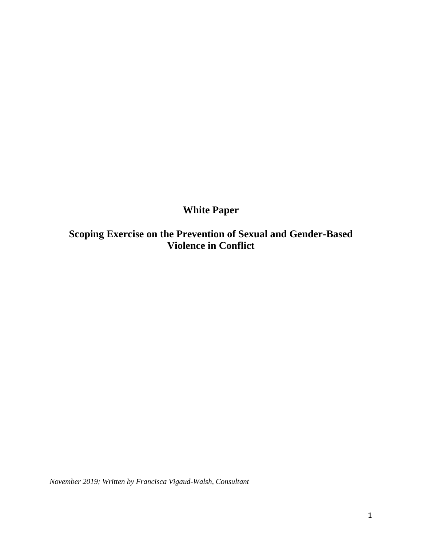# **White Paper**

**Scoping Exercise on the Prevention of Sexual and Gender-Based Violence in Conflict**

*November 2019; Written by Francisca Vigaud-Walsh, Consultant*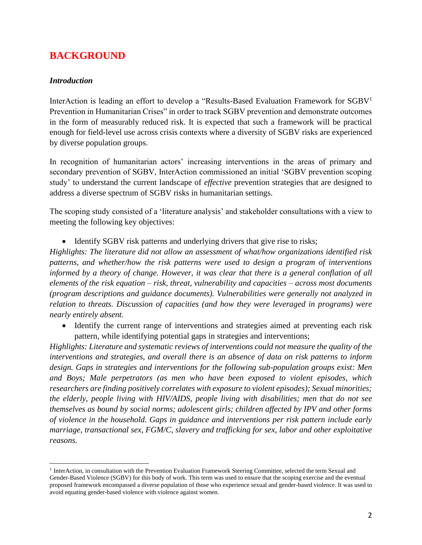# **BACKGROUND**

#### *Introduction*

InterAction is leading an effort to develop a "Results-Based Evaluation Framework for SGBV<sup>1</sup> Prevention in Humanitarian Crises" in order to track SGBV prevention and demonstrate outcomes in the form of measurably reduced risk. It is expected that such a framework will be practical enough for field-level use across crisis contexts where a diversity of SGBV risks are experienced by diverse population groups.

In recognition of humanitarian actors' increasing interventions in the areas of primary and secondary prevention of SGBV, InterAction commissioned an initial 'SGBV prevention scoping study' to understand the current landscape of *effective* prevention strategies that are designed to address a diverse spectrum of SGBV risks in humanitarian settings.

The scoping study consisted of a 'literature analysis' and stakeholder consultations with a view to meeting the following key objectives:

• Identify SGBV risk patterns and underlying drivers that give rise to risks;

*Highlights: The literature did not allow an assessment of what/how organizations identified risk patterns, and whether/how the risk patterns were used to design a program of interventions informed by a theory of change. However, it was clear that there is a general conflation of all elements of the risk equation – risk, threat, vulnerability and capacities – across most documents (program descriptions and guidance documents). Vulnerabilities were generally not analyzed in relation to threats. Discussion of capacities (and how they were leveraged in programs) were nearly entirely absent.* 

• Identify the current range of interventions and strategies aimed at preventing each risk pattern, while identifying potential gaps in strategies and interventions;

*Highlights: Literature and systematic reviews of interventions could not measure the quality of the interventions and strategies, and overall there is an absence of data on risk patterns to inform design. Gaps in strategies and interventions for the following sub-population groups exist: Men and Boys; Male perpetrators (as men who have been exposed to violent episodes, which researchers are finding positively correlates with exposure to violent episodes); Sexual minorities; the elderly, people living with HIV/AIDS, people living with disabilities; men that do not see themselves as bound by social norms; adolescent girls; children affected by IPV and other forms of violence in the household. Gaps in guidance and interventions per risk pattern include early marriage, transactional sex, FGM/C, slavery and trafficking for sex, labor and other exploitative reasons.*

<sup>&</sup>lt;sup>1</sup> InterAction, in consultation with the Prevention Evaluation Framework Steering Committee, selected the term Sexual and Gender-Based Violence (SGBV) for this body of work. This term was used to ensure that the scoping exercise and the eventual proposed framework encompassed a diverse population of those who experience sexual and gender-based violence. It was used to avoid equating gender-based violence with violence against women.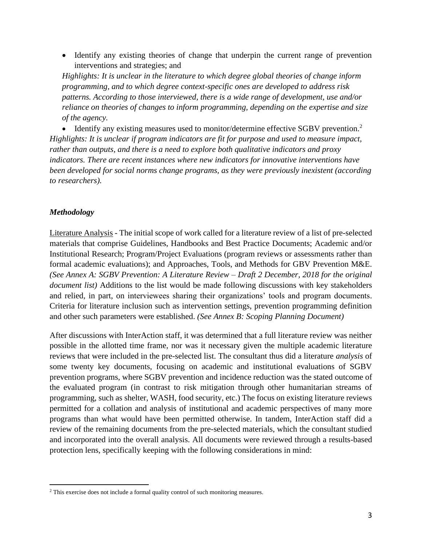• Identify any existing theories of change that underpin the current range of prevention interventions and strategies; and

*Highlights: It is unclear in the literature to which degree global theories of change inform programming, and to which degree context-specific ones are developed to address risk patterns. According to those interviewed, there is a wide range of development, use and/or reliance on theories of changes to inform programming, depending on the expertise and size of the agency.* 

• Identify any existing measures used to monitor/determine effective  $SGBV$  prevention.<sup>2</sup> *Highlights: It is unclear if program indicators are fit for purpose and used to measure impact, rather than outputs, and there is a need to explore both qualitative indicators and proxy indicators. There are recent instances where new indicators for innovative interventions have been developed for social norms change programs, as they were previously inexistent (according to researchers).*

#### *Methodology*

Literature Analysis - The initial scope of work called for a literature review of a list of pre-selected materials that comprise Guidelines, Handbooks and Best Practice Documents; Academic and/or Institutional Research; Program/Project Evaluations (program reviews or assessments rather than formal academic evaluations); and Approaches, Tools, and Methods for GBV Prevention M&E. *(See Annex A: SGBV Prevention: A Literature Review – Draft 2 December, 2018 for the original document list)* Additions to the list would be made following discussions with key stakeholders and relied, in part, on interviewees sharing their organizations' tools and program documents. Criteria for literature inclusion such as intervention settings, prevention programming definition and other such parameters were established. *(See Annex B: Scoping Planning Document)* 

After discussions with InterAction staff, it was determined that a full literature review was neither possible in the allotted time frame, nor was it necessary given the multiple academic literature reviews that were included in the pre-selected list. The consultant thus did a literature *analysis* of some twenty key documents, focusing on academic and institutional evaluations of SGBV prevention programs, where SGBV prevention and incidence reduction was the stated outcome of the evaluated program (in contrast to risk mitigation through other humanitarian streams of programming, such as shelter, WASH, food security, etc.) The focus on existing literature reviews permitted for a collation and analysis of institutional and academic perspectives of many more programs than what would have been permitted otherwise. In tandem, InterAction staff did a review of the remaining documents from the pre-selected materials, which the consultant studied and incorporated into the overall analysis. All documents were reviewed through a results-based protection lens, specifically keeping with the following considerations in mind:

<sup>&</sup>lt;sup>2</sup> This exercise does not include a formal quality control of such monitoring measures.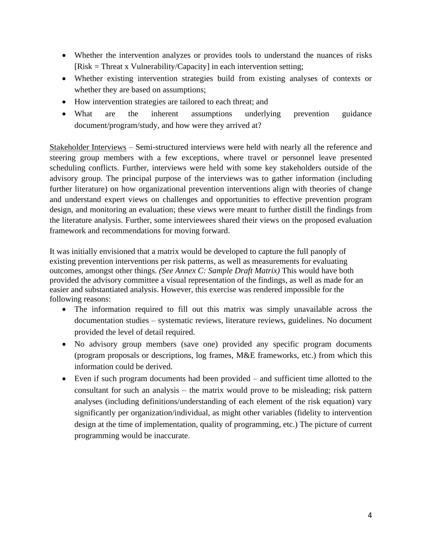- Whether the intervention analyzes or provides tools to understand the nuances of risks [Risk = Threat x Vulnerability/Capacity] in each intervention setting;
- Whether existing intervention strategies build from existing analyses of contexts or whether they are based on assumptions;
- How intervention strategies are tailored to each threat; and
- What are the inherent assumptions underlying prevention guidance document/program/study, and how were they arrived at?

Stakeholder Interviews – Semi-structured interviews were held with nearly all the reference and steering group members with a few exceptions, where travel or personnel leave presented scheduling conflicts. Further, interviews were held with some key stakeholders outside of the advisory group. The principal purpose of the interviews was to gather information (including further literature) on how organizational prevention interventions align with theories of change and understand expert views on challenges and opportunities to effective prevention program design, and monitoring an evaluation; these views were meant to further distill the findings from the literature analysis. Further, some interviewees shared their views on the proposed evaluation framework and recommendations for moving forward.

It was initially envisioned that a matrix would be developed to capture the full panoply of existing prevention interventions per risk patterns, as well as measurements for evaluating outcomes, amongst other things. *(See Annex C: Sample Draft Matrix)* This would have both provided the advisory committee a visual representation of the findings, as well as made for an easier and substantiated analysis. However, this exercise was rendered impossible for the following reasons:

- The information required to fill out this matrix was simply unavailable across the documentation studies – systematic reviews, literature reviews, guidelines. No document provided the level of detail required.
- No advisory group members (save one) provided any specific program documents (program proposals or descriptions, log frames, M&E frameworks, etc.) from which this information could be derived.
- Even if such program documents had been provided and sufficient time allotted to the consultant for such an analysis – the matrix would prove to be misleading; risk pattern analyses (including definitions/understanding of each element of the risk equation) vary significantly per organization/individual, as might other variables (fidelity to intervention design at the time of implementation, quality of programming, etc.) The picture of current programming would be inaccurate.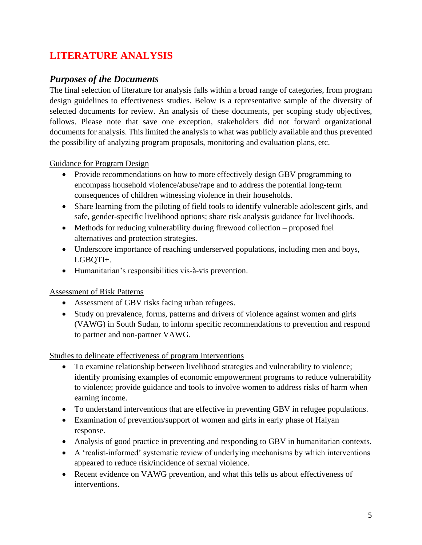# **LITERATURE ANALYSIS**

## *Purposes of the Documents*

The final selection of literature for analysis falls within a broad range of categories, from program design guidelines to effectiveness studies. Below is a representative sample of the diversity of selected documents for review. An analysis of these documents, per scoping study objectives, follows. Please note that save one exception, stakeholders did not forward organizational documents for analysis. This limited the analysis to what was publicly available and thus prevented the possibility of analyzing program proposals, monitoring and evaluation plans, etc.

Guidance for Program Design

- Provide recommendations on how to more effectively design GBV programming to encompass household violence/abuse/rape and to address the potential long-term consequences of children witnessing violence in their households.
- Share learning from the piloting of field tools to identify vulnerable adolescent girls, and safe, gender-specific livelihood options; share risk analysis guidance for livelihoods.
- Methods for reducing vulnerability during firewood collection proposed fuel alternatives and protection strategies.
- Underscore importance of reaching underserved populations, including men and boys, LGBQTI+.
- Humanitarian's responsibilities vis-à-vis prevention.

## Assessment of Risk Patterns

- Assessment of GBV risks facing urban refugees.
- Study on prevalence, forms, patterns and drivers of violence against women and girls (VAWG) in South Sudan, to inform specific recommendations to prevention and respond to partner and non-partner VAWG.

#### Studies to delineate effectiveness of program interventions

- To examine relationship between livelihood strategies and vulnerability to violence; identify promising examples of economic empowerment programs to reduce vulnerability to violence; provide guidance and tools to involve women to address risks of harm when earning income.
- To understand interventions that are effective in preventing GBV in refugee populations.
- Examination of prevention/support of women and girls in early phase of Haiyan response.
- Analysis of good practice in preventing and responding to GBV in humanitarian contexts.
- A 'realist-informed' systematic review of underlying mechanisms by which interventions appeared to reduce risk/incidence of sexual violence.
- Recent evidence on VAWG prevention, and what this tells us about effectiveness of interventions.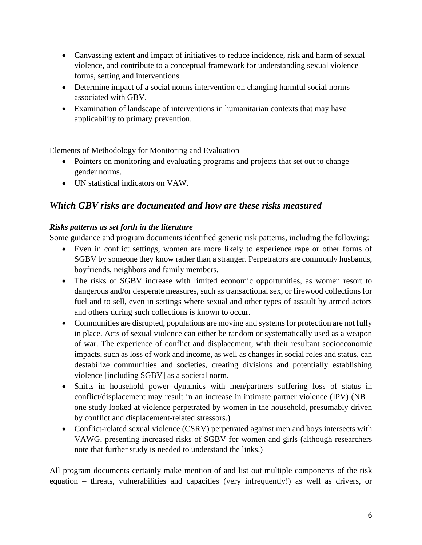- Canvassing extent and impact of initiatives to reduce incidence, risk and harm of sexual violence, and contribute to a conceptual framework for understanding sexual violence forms, setting and interventions.
- Determine impact of a social norms intervention on changing harmful social norms associated with GBV.
- Examination of landscape of interventions in humanitarian contexts that may have applicability to primary prevention.

#### Elements of Methodology for Monitoring and Evaluation

- Pointers on monitoring and evaluating programs and projects that set out to change gender norms.
- UN statistical indicators on VAW.

## *Which GBV risks are documented and how are these risks measured*

#### *Risks patterns as set forth in the literature*

Some guidance and program documents identified generic risk patterns, including the following:

- Even in conflict settings, women are more likely to experience rape or other forms of SGBV by someone they know rather than a stranger. Perpetrators are commonly husbands, boyfriends, neighbors and family members.
- The risks of SGBV increase with limited economic opportunities, as women resort to dangerous and/or desperate measures, such as transactional sex, or firewood collections for fuel and to sell, even in settings where sexual and other types of assault by armed actors and others during such collections is known to occur.
- Communities are disrupted, populations are moving and systems for protection are not fully in place. Acts of sexual violence can either be random or systematically used as a weapon of war. The experience of conflict and displacement, with their resultant socioeconomic impacts, such as loss of work and income, as well as changes in social roles and status, can destabilize communities and societies, creating divisions and potentially establishing violence [including SGBV] as a societal norm.
- Shifts in household power dynamics with men/partners suffering loss of status in conflict/displacement may result in an increase in intimate partner violence (IPV) (NB – one study looked at violence perpetrated by women in the household, presumably driven by conflict and displacement-related stressors.)
- Conflict-related sexual violence (CSRV) perpetrated against men and boys intersects with VAWG, presenting increased risks of SGBV for women and girls (although researchers note that further study is needed to understand the links.)

All program documents certainly make mention of and list out multiple components of the risk equation – threats, vulnerabilities and capacities (very infrequently!) as well as drivers, or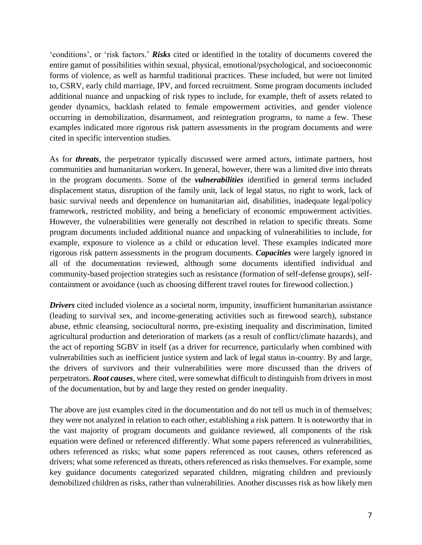'conditions', or 'risk factors.' *Risks* cited or identified in the totality of documents covered the entire gamut of possibilities within sexual, physical, emotional/psychological, and socioeconomic forms of violence, as well as harmful traditional practices. These included, but were not limited to, CSRV, early child marriage, IPV, and forced recruitment. Some program documents included additional nuance and unpacking of risk types to include, for example, theft of assets related to gender dynamics, backlash related to female empowerment activities, and gender violence occurring in demobilization, disarmament, and reintegration programs, to name a few. These examples indicated more rigorous risk pattern assessments in the program documents and were cited in specific intervention studies.

As for *threats*, the perpetrator typically discussed were armed actors, intimate partners, host communities and humanitarian workers. In general, however, there was a limited dive into threats in the program documents. Some of the *vulnerabilities* identified in general terms included displacement status, disruption of the family unit, lack of legal status, no right to work, lack of basic survival needs and dependence on humanitarian aid, disabilities, inadequate legal/policy framework, restricted mobility, and being a beneficiary of economic empowerment activities. However, the vulnerabilities were generally not described in relation to specific threats. Some program documents included additional nuance and unpacking of vulnerabilities to include, for example, exposure to violence as a child or education level. These examples indicated more rigorous risk pattern assessments in the program documents. *Capacities* were largely ignored in all of the documentation reviewed, although some documents identified individual and community-based projection strategies such as resistance (formation of self-defense groups), selfcontainment or avoidance (such as choosing different travel routes for firewood collection.)

*Drivers* cited included violence as a societal norm, impunity, insufficient humanitarian assistance (leading to survival sex, and income-generating activities such as firewood search), substance abuse, ethnic cleansing, sociocultural norms, pre-existing inequality and discrimination, limited agricultural production and deterioration of markets (as a result of conflict/climate hazards), and the act of reporting SGBV in itself (as a driver for recurrence, particularly when combined with vulnerabilities such as inefficient justice system and lack of legal status in-country. By and large, the drivers of survivors and their vulnerabilities were more discussed than the drivers of perpetrators. *Root causes*, where cited, were somewhat difficult to distinguish from drivers in most of the documentation, but by and large they rested on gender inequality.

The above are just examples cited in the documentation and do not tell us much in of themselves; they were not analyzed in relation to each other, establishing a risk pattern. It is noteworthy that in the vast majority of program documents and guidance reviewed, all components of the risk equation were defined or referenced differently. What some papers referenced as vulnerabilities, others referenced as risks; what some papers referenced as root causes, others referenced as drivers; what some referenced as threats, others referenced as risks themselves. For example, some key guidance documents categorized separated children, migrating children and previously demobilized children as risks, rather than vulnerabilities. Another discusses risk as how likely men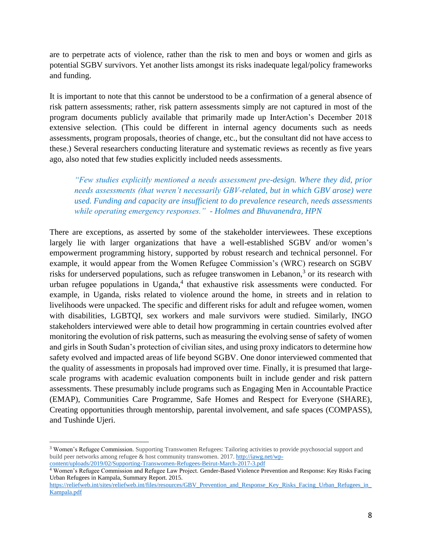are to perpetrate acts of violence, rather than the risk to men and boys or women and girls as potential SGBV survivors. Yet another lists amongst its risks inadequate legal/policy frameworks and funding.

It is important to note that this cannot be understood to be a confirmation of a general absence of risk pattern assessments; rather, risk pattern assessments simply are not captured in most of the program documents publicly available that primarily made up InterAction's December 2018 extensive selection. (This could be different in internal agency documents such as needs assessments, program proposals, theories of change, etc., but the consultant did not have access to these.) Several researchers conducting literature and systematic reviews as recently as five years ago, also noted that few studies explicitly included needs assessments.

*"Few studies explicitly mentioned a needs assessment pre-design. Where they did, prior needs assessments (that weren't necessarily GBV-related, but in which GBV arose) were used. Funding and capacity are insufficient to do prevalence research, needs assessments while operating emergency responses." - Holmes and Bhuvanendra, HPN*

There are exceptions, as asserted by some of the stakeholder interviewees. These exceptions largely lie with larger organizations that have a well-established SGBV and/or women's empowerment programming history, supported by robust research and technical personnel. For example, it would appear from the Women Refugee Commission's (WRC) research on SGBV risks for underserved populations, such as refugee transwomen in Lebanon,<sup>3</sup> or its research with urban refugee populations in Uganda, $4$  that exhaustive risk assessments were conducted. For example, in Uganda, risks related to violence around the home, in streets and in relation to livelihoods were unpacked. The specific and different risks for adult and refugee women, women with disabilities, LGBTQI, sex workers and male survivors were studied. Similarly, INGO stakeholders interviewed were able to detail how programming in certain countries evolved after monitoring the evolution of risk patterns, such as measuring the evolving sense of safety of women and girls in South Sudan's protection of civilian sites, and using proxy indicators to determine how safety evolved and impacted areas of life beyond SGBV. One donor interviewed commented that the quality of assessments in proposals had improved over time. Finally, it is presumed that largescale programs with academic evaluation components built in include gender and risk pattern assessments. These presumably include programs such as Engaging Men in Accountable Practice (EMAP), Communities Care Programme, Safe Homes and Respect for Everyone (SHARE), Creating opportunities through mentorship, parental involvement, and safe spaces (COMPASS), and Tushinde Ujeri.

<sup>3</sup> Women's Refugee Commission. Supporting Transwomen Refugees: Tailoring activities to provide psychosocial support and build peer networks among refugee & host community transwomen. 2017. [http://iawg.net/wp](http://iawg.net/wp-content/uploads/2019/02/Supporting-Transwomen-Refugees-Beirut-March-2017-3.pdf)[content/uploads/2019/02/Supporting-Transwomen-Refugees-Beirut-March-2017-3.pdf](http://iawg.net/wp-content/uploads/2019/02/Supporting-Transwomen-Refugees-Beirut-March-2017-3.pdf)

<sup>4</sup> Women's Refugee Commission and Refugee Law Project. Gender-Based Violence Prevention and Response: Key Risks Facing Urban Refugees in Kampala, Summary Report. 2015.

[https://reliefweb.int/sites/reliefweb.int/files/resources/GBV\\_Prevention\\_and\\_Response\\_Key\\_Risks\\_Facing\\_Urban\\_Refugees\\_in\\_](https://reliefweb.int/sites/reliefweb.int/files/resources/GBV_Prevention_and_Response_Key_Risks_Facing_Urban_Refugees_in_Kampala.pdf) [Kampala.pdf](https://reliefweb.int/sites/reliefweb.int/files/resources/GBV_Prevention_and_Response_Key_Risks_Facing_Urban_Refugees_in_Kampala.pdf)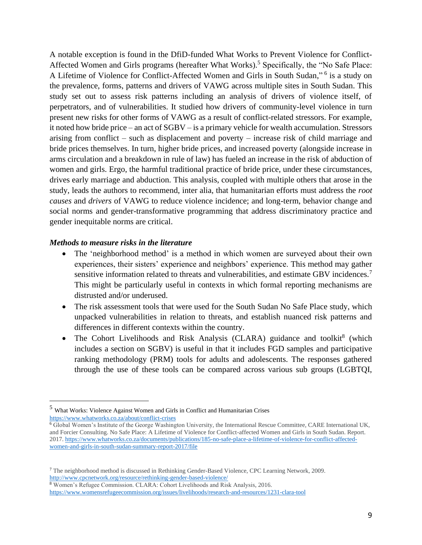A notable exception is found in the DfiD-funded What Works to Prevent Violence for Conflict-Affected Women and Girls programs (hereafter What Works). <sup>5</sup> Specifically, the "No Safe Place: A Lifetime of Violence for Conflict-Affected Women and Girls in South Sudan,"<sup>6</sup> is a study on the prevalence, forms, patterns and drivers of VAWG across multiple sites in South Sudan. This study set out to assess risk patterns including an analysis of drivers of violence itself, of perpetrators, and of vulnerabilities. It studied how drivers of community-level violence in turn present new risks for other forms of VAWG as a result of conflict-related stressors. For example, it noted how bride price – an act of SGBV – is a primary vehicle for wealth accumulation. Stressors arising from conflict – such as displacement and poverty – increase risk of child marriage and bride prices themselves. In turn, higher bride prices, and increased poverty (alongside increase in arms circulation and a breakdown in rule of law) has fueled an increase in the risk of abduction of women and girls. Ergo, the harmful traditional practice of bride price, under these circumstances, drives early marriage and abduction. This analysis, coupled with multiple others that arose in the study, leads the authors to recommend, inter alia, that humanitarian efforts must address the *root causes* and *drivers* of VAWG to reduce violence incidence; and long-term, behavior change and social norms and gender-transformative programming that address discriminatory practice and gender inequitable norms are critical.

#### *Methods to measure risks in the literature*

- The 'neighborhood method' is a method in which women are surveyed about their own experiences, their sisters' experience and neighbors' experience. This method may gather sensitive information related to threats and vulnerabilities, and estimate GBV incidences.<sup>7</sup> This might be particularly useful in contexts in which formal reporting mechanisms are distrusted and/or underused.
- The risk assessment tools that were used for the South Sudan No Safe Place study, which unpacked vulnerabilities in relation to threats, and establish nuanced risk patterns and differences in different contexts within the country.
- The Cohort Livelihoods and Risk Analysis (CLARA) guidance and toolkit<sup>8</sup> (which includes a section on SGBV) is useful in that it includes FGD samples and participative ranking methodology (PRM) tools for adults and adolescents. The responses gathered through the use of these tools can be compared across various sub groups (LGBTQI,

<sup>5</sup> What Works: Violence Against Women and Girls in Conflict and Humanitarian Crises <https://www.whatworks.co.za/about/conflict-crises>

<sup>6</sup> Global Women's Institute of the George Washington University, the International Rescue Committee, CARE International UK, and Forcier Consulting. No Safe Place: A Lifetime of Violence for Conflict-affected Women and Girls in South Sudan. Report. 2017. [https://www.whatworks.co.za/documents/publications/185-no-safe-place-a-lifetime-of-violence-for-conflict-affected](https://www.whatworks.co.za/documents/publications/185-no-safe-place-a-lifetime-of-violence-for-conflict-affected-women-and-girls-in-south-sudan-summary-report-2017/file)[women-and-girls-in-south-sudan-summary-report-2017/file](https://www.whatworks.co.za/documents/publications/185-no-safe-place-a-lifetime-of-violence-for-conflict-affected-women-and-girls-in-south-sudan-summary-report-2017/file)

<sup>7</sup> The neighborhood method is discussed in [Rethinking Gender-Based Violence,](http://www.cpcnetwork.org/resource/rethinking-gender-based-violence/) CPC Learning Network, 2009. <http://www.cpcnetwork.org/resource/rethinking-gender-based-violence/>

<sup>8</sup> Women's Refugee Commission. CLARA: Cohort Livelihoods and Risk Analysis, 2016. <https://www.womensrefugeecommission.org/issues/livelihoods/research-and-resources/1231-clara-tool>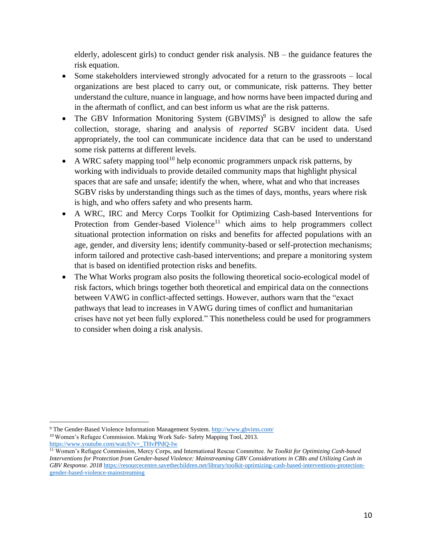elderly, adolescent girls) to conduct gender risk analysis. NB – the guidance features the risk equation.

- Some stakeholders interviewed strongly advocated for a return to the grassroots local organizations are best placed to carry out, or communicate, risk patterns. They better understand the culture, nuance in language, and how norms have been impacted during and in the aftermath of conflict, and can best inform us what are the risk patterns.
- The GBV Information Monitoring System (GBVIMS)<sup>9</sup> is designed to allow the safe collection, storage, sharing and analysis of *reported* SGBV incident data. Used appropriately, the tool can communicate incidence data that can be used to understand some risk patterns at different levels.
- A WRC safety mapping tool<sup>10</sup> help economic programmers unpack risk patterns, by working with individuals to provide detailed community maps that highlight physical spaces that are safe and unsafe; identify the when, where, what and who that increases SGBV risks by understanding things such as the times of days, months, years where risk is high, and who offers safety and who presents harm.
- A WRC, IRC and Mercy Corps Toolkit for Optimizing Cash-based Interventions for Protection from Gender-based Violence<sup>11</sup> which aims to help programmers collect situational protection information on risks and benefits for affected populations with an age, gender, and diversity lens; identify community-based or self-protection mechanisms; inform tailored and protective cash-based interventions; and prepare a monitoring system that is based on identified protection risks and benefits.
- The What Works program also posits the following theoretical socio-ecological model of risk factors, which brings together both theoretical and empirical data on the connections between VAWG in conflict-affected settings. However, authors warn that the "exact pathways that lead to increases in VAWG during times of conflict and humanitarian crises have not yet been fully explored." This nonetheless could be used for programmers to consider when doing a risk analysis.

<sup>&</sup>lt;sup>9</sup> The Gender-Based Violence Information Management System.<http://www.gbvims.com/>

<sup>&</sup>lt;sup>10</sup> Women's Refugee Commission. Making Work Safe- Safety Mapping Tool, 2013. [https://www.youtube.com/watch?v=\\_THvPPdQ-Iw](https://www.youtube.com/watch?v=_THvPPdQ-Iw)

<sup>11</sup> Women's Refugee Commission, Mercy Corps, and International Rescue Committee. *he Toolkit for Optimizing Cash-based Interventions for Protection from Gender-based Violence: Mainstreaming GBV Considerations in CBIs and Utilizing Cash in GBV Response. 2018* [https://resourcecentre.savethechildren.net/library/toolkit-optimizing-cash-based-interventions-protection](https://resourcecentre.savethechildren.net/library/toolkit-optimizing-cash-based-interventions-protection-gender-based-violence-mainstreaming)[gender-based-violence-mainstreaming](https://resourcecentre.savethechildren.net/library/toolkit-optimizing-cash-based-interventions-protection-gender-based-violence-mainstreaming)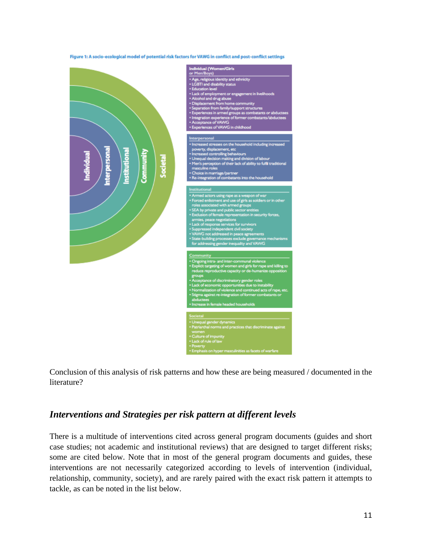

Conclusion of this analysis of risk patterns and how these are being measured / documented in the literature?

## *Interventions and Strategies per risk pattern at different levels*

There is a multitude of interventions cited across general program documents (guides and short case studies; not academic and institutional reviews) that are designed to target different risks; some are cited below. Note that in most of the general program documents and guides, these interventions are not necessarily categorized according to levels of intervention (individual, relationship, community, society), and are rarely paired with the exact risk pattern it attempts to tackle, as can be noted in the list below.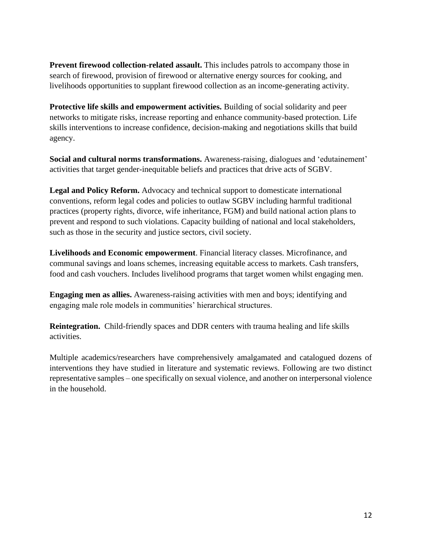**Prevent firewood collection-related assault.** This includes patrols to accompany those in search of firewood, provision of firewood or alternative energy sources for cooking, and livelihoods opportunities to supplant firewood collection as an income-generating activity.

**Protective life skills and empowerment activities.** Building of social solidarity and peer networks to mitigate risks, increase reporting and enhance community-based protection. Life skills interventions to increase confidence, decision-making and negotiations skills that build agency.

**Social and cultural norms transformations.** Awareness-raising, dialogues and 'edutainement' activities that target gender-inequitable beliefs and practices that drive acts of SGBV.

**Legal and Policy Reform.** Advocacy and technical support to domesticate international conventions, reform legal codes and policies to outlaw SGBV including harmful traditional practices (property rights, divorce, wife inheritance, FGM) and build national action plans to prevent and respond to such violations. Capacity building of national and local stakeholders, such as those in the security and justice sectors, civil society.

**Livelihoods and Economic empowerment**. Financial literacy classes. Microfinance, and communal savings and loans schemes, increasing equitable access to markets. Cash transfers, food and cash vouchers. Includes livelihood programs that target women whilst engaging men.

**Engaging men as allies.** Awareness-raising activities with men and boys; identifying and engaging male role models in communities' hierarchical structures.

**Reintegration.** Child-friendly spaces and DDR centers with trauma healing and life skills activities.

Multiple academics/researchers have comprehensively amalgamated and catalogued dozens of interventions they have studied in literature and systematic reviews. Following are two distinct representative samples – one specifically on sexual violence, and another on interpersonal violence in the household.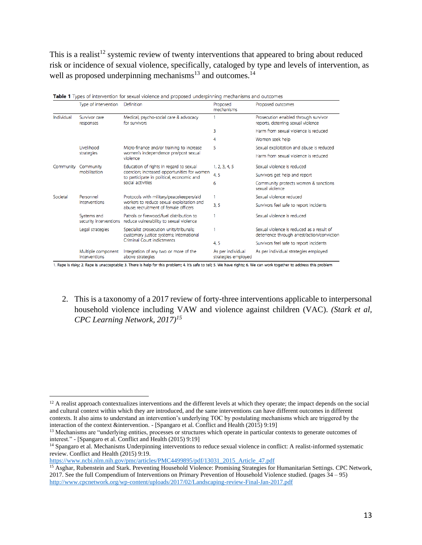This is a realist<sup>12</sup> systemic review of twenty interventions that appeared to bring about reduced risk or incidence of sexual violence, specifically, cataloged by type and levels of intervention, as well as proposed underpinning mechanisms<sup>13</sup> and outcomes.<sup>14</sup>

|            | Type of intervention                  | Definition                                                                                                                                               | Proposed<br>mechanisms                   | Proposed outcomes                                                                        |
|------------|---------------------------------------|----------------------------------------------------------------------------------------------------------------------------------------------------------|------------------------------------------|------------------------------------------------------------------------------------------|
| Individual | Survivor care<br>responses            | Medical, psycho-social care & advocacy<br>for survivors                                                                                                  |                                          | Prosecution enabled through survivor<br>reports, deterring sexual violence               |
|            |                                       |                                                                                                                                                          | 3                                        | Harm from sexual violence is reduced                                                     |
|            |                                       |                                                                                                                                                          | 4                                        | Women seek help                                                                          |
|            | Livelihood<br>strategies              | Micro-finance and/or training to increase<br>women's independence pre/post sexual<br>violence                                                            | 5                                        | Sexual exploitation and abuse is reduced                                                 |
|            |                                       |                                                                                                                                                          |                                          | Harm from sexual violence is reduced                                                     |
| Community  | Community<br>mobilisation             | Education of rights in regard to sexual<br>coercion; increased opportunities for women<br>to participate in political, economic and<br>social activities | 1, 2, 3, 4, 5                            | Sexual violence is reduced                                                               |
|            |                                       |                                                                                                                                                          | 4, 5                                     | Survivors get help and report                                                            |
|            |                                       |                                                                                                                                                          | 6                                        | Community protects women & sanctions<br>sexual violence                                  |
| Societal   | Personnel<br>interventions            | Protocols with military/peacekeepers/aid<br>workers to reduce sexual exploitation and<br>abuse: recruitment of female officers                           |                                          | Sexual violence reduced                                                                  |
|            |                                       |                                                                                                                                                          | 3, 5                                     | Survivors feel safe to report incidents                                                  |
|            | Systems and<br>security interventions | Patrols or firewood/fuel distribution to<br>reduce vulnerability to sexual violence                                                                      |                                          | Sexual violence is reduced                                                               |
|            | Legal strategies                      | Specialist prosecution units/tribunals;<br>customary justice systems; International<br>Criminal Court indictments                                        |                                          | Sexual violence is reduced as a result of<br>deterrence through arrest/action/conviction |
|            |                                       |                                                                                                                                                          | 4, 5                                     | Survivors feel safe to report incidents                                                  |
|            | Multiple component<br>interventions   | Integration of any two or more of the<br>above strategies                                                                                                | As per individual<br>strategies employed | As per individual strategies employed                                                    |

Table 1 Tupes of intervention for several violence and prepared underginate mochanisms and outcomes

1. Rape is risky; 2. Rape is unacceptable; 3. There is help for this problem; 4. It's safe to tell; 5. We have rights; 6. We can work together to address this problem

2. This is a taxonomy of a 2017 review of forty-three interventions applicable to interpersonal household violence including VAW and violence against children (VAC). *(Stark et al, CPC Learning Network, 2017)<sup>15</sup>*

[https://www.ncbi.nlm.nih.gov/pmc/articles/PMC4499895/pdf/13031\\_2015\\_Article\\_47.pdf](https://www.ncbi.nlm.nih.gov/pmc/articles/PMC4499895/pdf/13031_2015_Article_47.pdf)

 $12$  A realist approach contextualizes interventions and the different levels at which they operate; the impact depends on the social and cultural context within which they are introduced, and the same interventions can have different outcomes in different contexts. It also aims to understand an intervention's underlying TOC by postulating mechanisms which are triggered by the interaction of the context &intervention. - [Spangaro et al. Conflict and Health (2015) 9:19]

<sup>&</sup>lt;sup>13</sup> Mechanisms are "underlying entities, processes or structures which operate in particular contexts to generate outcomes of interest." - [Spangaro et al. Conflict and Health (2015) 9:19]

<sup>&</sup>lt;sup>14</sup> Spangaro et al. Mechanisms Underpinning interventions to reduce sexual violence in conflict: A realist-informed systematic review. Conflict and Health (2015) 9:19.

<sup>15</sup> Asghar, Rubenstein and Stark. Preventing Household Violence: Promising Strategies for Humanitarian Settings. CPC Network, 2017. See the full Compendium of Interventions on Primary Prevention of Household Violence studied. (pages 34 – 95) <http://www.cpcnetwork.org/wp-content/uploads/2017/02/Landscaping-review-Final-Jan-2017.pdf>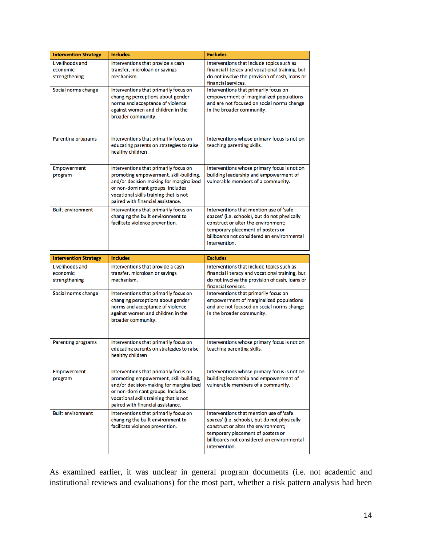| <b>Intervention Strategy</b>                 | <b>Includes</b>                                                                                                                                                                                                                               | <b>Excludes</b>                                                                                                                                                                                                                     |
|----------------------------------------------|-----------------------------------------------------------------------------------------------------------------------------------------------------------------------------------------------------------------------------------------------|-------------------------------------------------------------------------------------------------------------------------------------------------------------------------------------------------------------------------------------|
| Livelihoods and<br>economic<br>strengthening | Interventions that provide a cash<br>transfer, microloan or savings<br>mechanism.                                                                                                                                                             | Interventions that include topics such as<br>financial literacy and vocational training, but<br>do not involve the provision of cash, loans or<br>financial services.                                                               |
| Social norms change                          | Interventions that primarily focus on<br>changing perceptions about gender<br>norms and acceptance of violence<br>against women and children in the<br>broader community.                                                                     | Interventions that primarily focus on<br>empowerment of marginalized populations<br>and are not focused on social norms change<br>in the broader community.                                                                         |
| <b>Parenting programs</b>                    | Interventions that primarily focus on<br>educating parents on strategies to raise<br>healthy children                                                                                                                                         | Interventions whose primary focus is not on<br>teaching parenting skills.                                                                                                                                                           |
| <b>Empowerment</b><br>program                | Interventions that primarily focus on<br>promoting empowerment, skill-building,<br>and/or decision-making for marginalized<br>or non-dominant groups. Includes<br>vocational skills training that is not<br>paired with financial assistance. | Interventions whose primary focus is not on<br>building leadership and empowerment of<br>vulnerable members of a community.                                                                                                         |
| <b>Built environment</b>                     | Interventions that primarily focus on<br>changing the built environment to<br>facilitate violence prevention.                                                                                                                                 | Interventions that mention use of 'safe<br>spaces' (i.e. schools), but do not physically<br>construct or alter the environment;<br>temporary placement of posters or<br>billboards not considered an environmental<br>intervention. |
|                                              |                                                                                                                                                                                                                                               |                                                                                                                                                                                                                                     |
| <b>Intervention Strategy</b>                 | <b>Includes</b>                                                                                                                                                                                                                               | <b>Excludes</b>                                                                                                                                                                                                                     |
| Livelihoods and<br>economic<br>strengthening | Interventions that provide a cash<br>transfer, microloan or savings<br>mechanism.                                                                                                                                                             | Interventions that include topics such as<br>financial literacy and vocational training, but<br>do not involve the provision of cash, loans or<br>financial services.                                                               |
| Social norms change                          | Interventions that primarily focus on<br>changing perceptions about gender<br>norms and acceptance of violence<br>against women and children in the<br>broader community.                                                                     | Interventions that primarily focus on<br>empowerment of marginalized populations<br>and are not focused on social norms change<br>in the broader community.                                                                         |
| <b>Parenting programs</b>                    | Interventions that primarily focus on<br>educating parents on strategies to raise<br>healthy children                                                                                                                                         | Interventions whose primary focus is not on<br>teaching parenting skills.                                                                                                                                                           |
| <b>Empowerment</b><br>program                | Interventions that primarily focus on<br>promoting empowerment, skill-building,<br>and/or decision-making for marginalized<br>or non-dominant groups. Includes<br>vocational skills training that is not<br>paired with financial assistance. | Interventions whose primary focus is not on<br>building leadership and empowerment of<br>vulnerable members of a community.                                                                                                         |

As examined earlier, it was unclear in general program documents (i.e. not academic and institutional reviews and evaluations) for the most part, whether a risk pattern analysis had been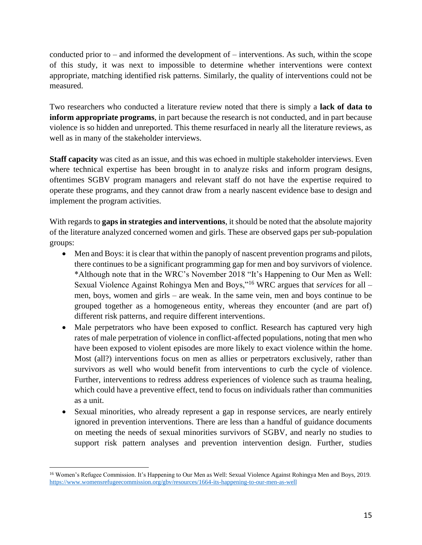conducted prior to – and informed the development of – interventions. As such, within the scope of this study, it was next to impossible to determine whether interventions were context appropriate, matching identified risk patterns. Similarly, the quality of interventions could not be measured.

Two researchers who conducted a literature review noted that there is simply a **lack of data to inform appropriate programs**, in part because the research is not conducted, and in part because violence is so hidden and unreported. This theme resurfaced in nearly all the literature reviews, as well as in many of the stakeholder interviews.

**Staff capacity** was cited as an issue, and this was echoed in multiple stakeholder interviews. Even where technical expertise has been brought in to analyze risks and inform program designs, oftentimes SGBV program managers and relevant staff do not have the expertise required to operate these programs, and they cannot draw from a nearly nascent evidence base to design and implement the program activities.

With regards to **gaps in strategies and interventions**, it should be noted that the absolute majority of the literature analyzed concerned women and girls. These are observed gaps per sub-population groups:

- Men and Boys: it is clear that within the panoply of nascent prevention programs and pilots, there continues to be a significant programming gap for men and boy survivors of violence. \*Although note that in the WRC's November 2018 "It's Happening to Our Men as Well: Sexual Violence Against Rohingya Men and Boys,"<sup>16</sup> WRC argues that *services* for all – men, boys, women and girls – are weak. In the same vein, men and boys continue to be grouped together as a homogeneous entity, whereas they encounter (and are part of) different risk patterns, and require different interventions.
- Male perpetrators who have been exposed to conflict. Research has captured very high rates of male perpetration of violence in conflict-affected populations, noting that men who have been exposed to violent episodes are more likely to exact violence within the home. Most (all?) interventions focus on men as allies or perpetrators exclusively, rather than survivors as well who would benefit from interventions to curb the cycle of violence. Further, interventions to redress address experiences of violence such as trauma healing, which could have a preventive effect, tend to focus on individuals rather than communities as a unit.
- Sexual minorities, who already represent a gap in response services, are nearly entirely ignored in prevention interventions. There are less than a handful of guidance documents on meeting the needs of sexual minorities survivors of SGBV, and nearly no studies to support risk pattern analyses and prevention intervention design. Further, studies

<sup>&</sup>lt;sup>16</sup> Women's Refugee Commission. It's Happening to Our Men as Well: Sexual Violence Against Rohingya Men and Boys, 2019. <https://www.womensrefugeecommission.org/gbv/resources/1664-its-happening-to-our-men-as-well>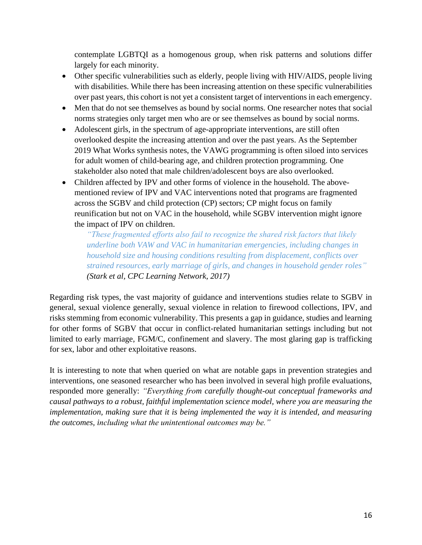contemplate LGBTQI as a homogenous group, when risk patterns and solutions differ largely for each minority.

- Other specific vulnerabilities such as elderly, people living with HIV/AIDS, people living with disabilities. While there has been increasing attention on these specific vulnerabilities over past years, this cohort is not yet a consistent target of interventions in each emergency.
- Men that do not see themselves as bound by social norms. One researcher notes that social norms strategies only target men who are or see themselves as bound by social norms.
- Adolescent girls, in the spectrum of age-appropriate interventions, are still often overlooked despite the increasing attention and over the past years. As the September 2019 What Works synthesis notes, the VAWG programming is often siloed into services for adult women of child-bearing age, and children protection programming. One stakeholder also noted that male children/adolescent boys are also overlooked.
- Children affected by IPV and other forms of violence in the household. The abovementioned review of IPV and VAC interventions noted that programs are fragmented across the SGBV and child protection (CP) sectors; CP might focus on family reunification but not on VAC in the household, while SGBV intervention might ignore the impact of IPV on children.

*"These fragmented efforts also fail to recognize the shared risk factors that likely underline both VAW and VAC in humanitarian emergencies, including changes in household size and housing conditions resulting from displacement, conflicts over strained resources, early marriage of girls, and changes in household gender roles" (Stark et al, CPC Learning Network, 2017)*

Regarding risk types, the vast majority of guidance and interventions studies relate to SGBV in general, sexual violence generally, sexual violence in relation to firewood collections, IPV, and risks stemming from economic vulnerability. This presents a gap in guidance, studies and learning for other forms of SGBV that occur in conflict-related humanitarian settings including but not limited to early marriage, FGM/C, confinement and slavery. The most glaring gap is trafficking for sex, labor and other exploitative reasons.

It is interesting to note that when queried on what are notable gaps in prevention strategies and interventions, one seasoned researcher who has been involved in several high profile evaluations, responded more generally: *"Everything from carefully thought-out conceptual frameworks and causal pathways to a robust, faithful implementation science model, where you are measuring the implementation, making sure that it is being implemented the way it is intended, and measuring the outcomes, including what the unintentional outcomes may be."*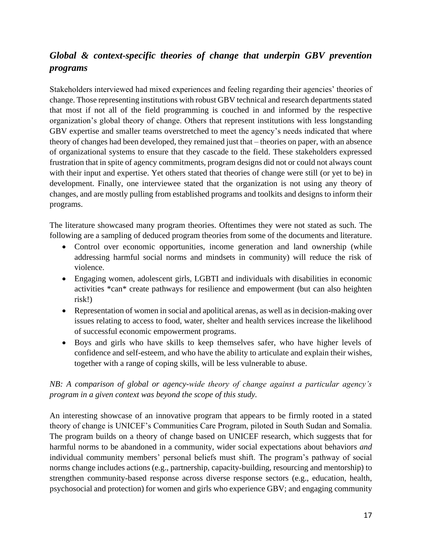# *Global & context-specific theories of change that underpin GBV prevention programs*

Stakeholders interviewed had mixed experiences and feeling regarding their agencies' theories of change. Those representing institutions with robust GBV technical and research departments stated that most if not all of the field programming is couched in and informed by the respective organization's global theory of change. Others that represent institutions with less longstanding GBV expertise and smaller teams overstretched to meet the agency's needs indicated that where theory of changes had been developed, they remained just that – theories on paper, with an absence of organizational systems to ensure that they cascade to the field. These stakeholders expressed frustration that in spite of agency commitments, program designs did not or could not always count with their input and expertise. Yet others stated that theories of change were still (or yet to be) in development. Finally, one interviewee stated that the organization is not using any theory of changes, and are mostly pulling from established programs and toolkits and designs to inform their programs.

The literature showcased many program theories. Oftentimes they were not stated as such. The following are a sampling of deduced program theories from some of the documents and literature.

- Control over economic opportunities, income generation and land ownership (while addressing harmful social norms and mindsets in community) will reduce the risk of violence.
- Engaging women, adolescent girls, LGBTI and individuals with disabilities in economic activities \*can\* create pathways for resilience and empowerment (but can also heighten risk!)
- Representation of women in social and apolitical arenas, as well as in decision-making over issues relating to access to food, water, shelter and health services increase the likelihood of successful economic empowerment programs.
- Boys and girls who have skills to keep themselves safer, who have higher levels of confidence and self-esteem, and who have the ability to articulate and explain their wishes, together with a range of coping skills, will be less vulnerable to abuse.

#### *NB: A comparison of global or agency-wide theory of change against a particular agency's program in a given context was beyond the scope of this study.*

An interesting showcase of an innovative program that appears to be firmly rooted in a stated theory of change is UNICEF's Communities Care Program, piloted in South Sudan and Somalia. The program builds on a theory of change based on UNICEF research, which suggests that for harmful norms to be abandoned in a community, wider social expectations about behaviors *and*  individual community members' personal beliefs must shift. The program's pathway of social norms change includes actions (e.g., partnership, capacity-building, resourcing and mentorship) to strengthen community-based response across diverse response sectors (e.g., education, health, psychosocial and protection) for women and girls who experience GBV; and engaging community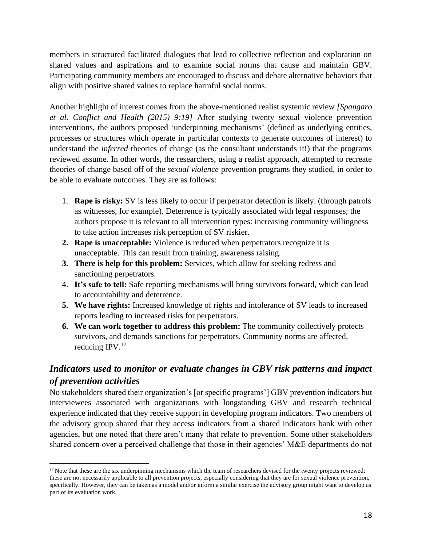members in structured facilitated dialogues that lead to collective reflection and exploration on shared values and aspirations and to examine social norms that cause and maintain GBV. Participating community members are encouraged to discuss and debate alternative behaviors that align with positive shared values to replace harmful social norms.

Another highlight of interest comes from the above-mentioned realist systemic review *[Spangaro et al. Conflict and Health (2015) 9:19]* After studying twenty sexual violence prevention interventions, the authors proposed 'underpinning mechanisms' (defined as underlying entities, processes or structures which operate in particular contexts to generate outcomes of interest) to understand the *inferred* theories of change (as the consultant understands it!) that the programs reviewed assume. In other words, the researchers, using a realist approach, attempted to recreate theories of change based off of the *sexual violence* prevention programs they studied, in order to be able to evaluate outcomes. They are as follows:

- 1. **Rape is risky:** SV is less likely to occur if perpetrator detection is likely. (through patrols as witnesses, for example). Deterrence is typically associated with legal responses; the authors propose it is relevant to all intervention types: increasing community willingness to take action increases risk perception of SV riskier.
- **2. Rape is unacceptable:** Violence is reduced when perpetrators recognize it is unacceptable. This can result from training, awareness raising.
- **3. There is help for this problem:** Services, which allow for seeking redress and sanctioning perpetrators.
- 4. **It's safe to tell:** Safe reporting mechanisms will bring survivors forward, which can lead to accountability and deterrence.
- **5. We have rights:** Increased knowledge of rights and intolerance of SV leads to increased reports leading to increased risks for perpetrators.
- **6. We can work together to address this problem:** The community collectively protects survivors, and demands sanctions for perpetrators. Community norms are affected, reducing  $IPV<sup>17</sup>$

# *Indicators used to monitor or evaluate changes in GBV risk patterns and impact of prevention activities*

No stakeholders shared their organization's [or specific programs'] GBV prevention indicators but interviewees associated with organizations with longstanding GBV and research technical experience indicated that they receive support in developing program indicators. Two members of the advisory group shared that they access indicators from a shared indicators bank with other agencies, but one noted that there aren't many that relate to prevention. Some other stakeholders shared concern over a perceived challenge that those in their agencies' M&E departments do not

<sup>&</sup>lt;sup>17</sup> Note that these are the six underpinning mechanisms which the team of researchers devised for the twenty projects reviewed; these are not necessarily applicable to all prevention projects, especially considering that they are for sexual violence prevention, specifically. However, they can be taken as a model and/or inform a similar exercise the advisory group might want to develop as part of its evaluation work.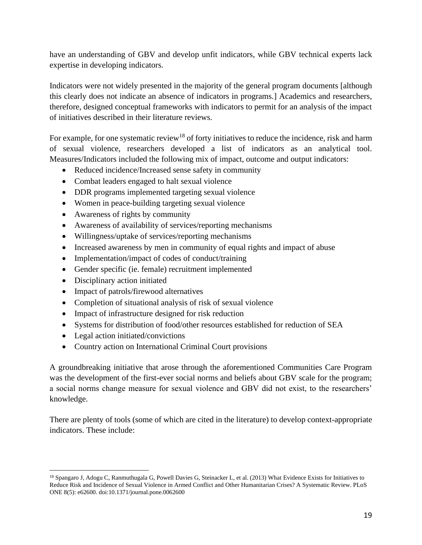have an understanding of GBV and develop unfit indicators, while GBV technical experts lack expertise in developing indicators.

Indicators were not widely presented in the majority of the general program documents [although this clearly does not indicate an absence of indicators in programs.] Academics and researchers, therefore, designed conceptual frameworks with indicators to permit for an analysis of the impact of initiatives described in their literature reviews.

For example, for one systematic review<sup>18</sup> of forty initiatives to reduce the incidence, risk and harm of sexual violence, researchers developed a list of indicators as an analytical tool. Measures/Indicators included the following mix of impact, outcome and output indicators:

- Reduced incidence/Increased sense safety in community
- Combat leaders engaged to halt sexual violence
- DDR programs implemented targeting sexual violence
- Women in peace-building targeting sexual violence
- Awareness of rights by community
- Awareness of availability of services/reporting mechanisms
- Willingness/uptake of services/reporting mechanisms
- Increased awareness by men in community of equal rights and impact of abuse
- Implementation/impact of codes of conduct/training
- Gender specific (ie. female) recruitment implemented
- Disciplinary action initiated
- Impact of patrols/firewood alternatives
- Completion of situational analysis of risk of sexual violence
- Impact of infrastructure designed for risk reduction
- Systems for distribution of food/other resources established for reduction of SEA
- Legal action initiated/convictions
- Country action on International Criminal Court provisions

A groundbreaking initiative that arose through the aforementioned Communities Care Program was the development of the first-ever social norms and beliefs about GBV scale for the program; a social norms change measure for sexual violence and GBV did not exist, to the researchers' knowledge.

There are plenty of tools (some of which are cited in the literature) to develop context-appropriate indicators. These include:

<sup>&</sup>lt;sup>18</sup> Spangaro J, Adogu C, Ranmuthugala G, Powell Davies G, Steinacker L, et al. (2013) What Evidence Exists for Initiatives to Reduce Risk and Incidence of Sexual Violence in Armed Conflict and Other Humanitarian Crises? A Systematic Review. PLoS ONE 8(5): e62600. doi:10.1371/journal.pone.0062600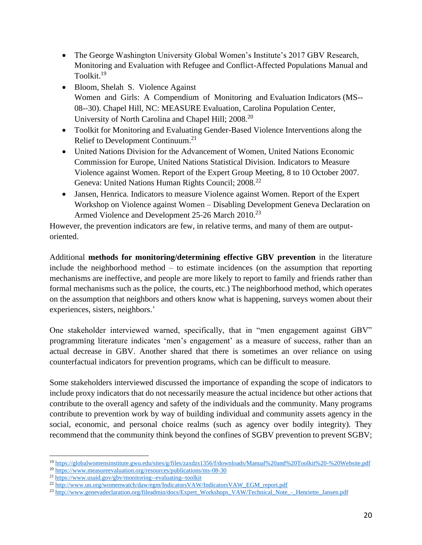- The George Washington University Global Women's Institute's 2017 GBV Research, Monitoring and Evaluation with Refugee and Conflict-Affected Populations Manual and Toolkit.<sup>19</sup>
- Bloom, Shelah S. Violence Against Women and Girls: A Compendium of Monitoring and Evaluation Indicators (MS-- 08-‐30). Chapel Hill, NC: MEASURE Evaluation, Carolina Population Center, University of North Carolina and Chapel Hill; 2008.<sup>20</sup>
- Toolkit for Monitoring and Evaluating Gender-Based Violence Interventions along the Relief to Development Continuum.<sup>21</sup>
- United Nations Division for the Advancement of Women, United Nations Economic Commission for Europe, United Nations Statistical Division. Indicators to Measure Violence against Women. Report of the Expert Group Meeting, 8 to 10 October 2007. Geneva: United Nations Human Rights Council; 2008.<sup>22</sup>
- Jansen, Henrica. Indicators to measure Violence against Women. Report of the Expert Workshop on Violence against Women – Disabling Development Geneva Declaration on Armed Violence and Development 25-26 March 2010.<sup>23</sup>

However, the prevention indicators are few, in relative terms, and many of them are outputoriented.

Additional **methods for monitoring/determining effective GBV prevention** in the literature include the neighborhood method – to estimate incidences (on the assumption that reporting mechanisms are ineffective, and people are more likely to report to family and friends rather than formal mechanisms such as the police, the courts, etc.) The neighborhood method, which operates on the assumption that neighbors and others know what is happening, surveys women about their experiences, sisters, neighbors.'

One stakeholder interviewed warned, specifically, that in "men engagement against GBV" programming literature indicates 'men's engagement' as a measure of success, rather than an actual decrease in GBV. Another shared that there is sometimes an over reliance on using counterfactual indicators for prevention programs, which can be difficult to measure.

Some stakeholders interviewed discussed the importance of expanding the scope of indicators to include proxy indicators that do not necessarily measure the actual incidence but other actions that contribute to the overall agency and safety of the individuals and the community. Many programs contribute to prevention work by way of building individual and community assets agency in the social, economic, and personal choice realms (such as agency over bodily integrity). They recommend that the community think beyond the confines of SGBV prevention to prevent SGBV;

<sup>19</sup> <https://globalwomensinstitute.gwu.edu/sites/g/files/zaxdzs1356/f/downloads/Manual%20and%20Toolkit%20-%20Website.pdf>

<sup>20</sup> <https://www.measureevaluation.org/resources/publications/ms-08-30>

<sup>21</sup> [https://www.usaid.gov/gbv/monitoring-](https://www.usaid.gov/gbv/monitoring-‐evaluating-‐toolkit)‐evaluating-‐toolkit

<sup>22</sup> [http://www.un.org/womenwatch/daw/egm/IndicatorsVAW/IndicatorsVAW\\_EGM\\_report.pdf](http://www.un.org/womenwatch/daw/egm/IndicatorsVAW/IndicatorsVAW_EGM_report.pdf)

<sup>&</sup>lt;sup>23</sup> [http://www.genevadeclaration.org/fileadmin/docs/Expert\\_Workshops\\_VAW/Technical\\_Note\\_-\\_Henriette\\_Jansen.pdf](http://www.genevadeclaration.org/fileadmin/docs/Expert_Workshops_VAW/Technical_Note_-_Henriette_Jansen.pdf)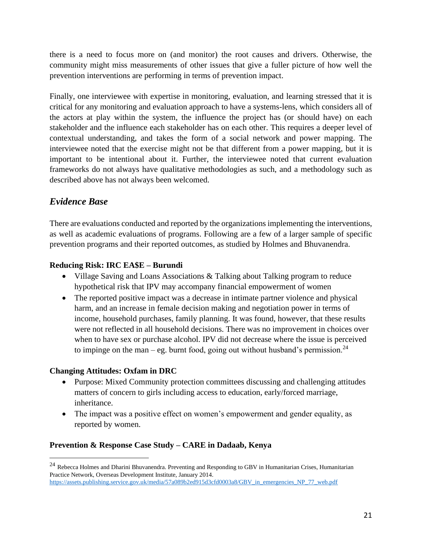there is a need to focus more on (and monitor) the root causes and drivers. Otherwise, the community might miss measurements of other issues that give a fuller picture of how well the prevention interventions are performing in terms of prevention impact.

Finally, one interviewee with expertise in monitoring, evaluation, and learning stressed that it is critical for any monitoring and evaluation approach to have a systems-lens, which considers all of the actors at play within the system, the influence the project has (or should have) on each stakeholder and the influence each stakeholder has on each other. This requires a deeper level of contextual understanding, and takes the form of a social network and power mapping. The interviewee noted that the exercise might not be that different from a power mapping, but it is important to be intentional about it. Further, the interviewee noted that current evaluation frameworks do not always have qualitative methodologies as such, and a methodology such as described above has not always been welcomed.

# *Evidence Base*

There are evaluations conducted and reported by the organizations implementing the interventions, as well as academic evaluations of programs. Following are a few of a larger sample of specific prevention programs and their reported outcomes, as studied by Holmes and Bhuvanendra.

#### **Reducing Risk: IRC EA\$E – Burundi**

- Village Saving and Loans Associations & Talking about Talking program to reduce hypothetical risk that IPV may accompany financial empowerment of women
- The reported positive impact was a decrease in intimate partner violence and physical harm, and an increase in female decision making and negotiation power in terms of income, household purchases, family planning. It was found, however, that these results were not reflected in all household decisions. There was no improvement in choices over when to have sex or purchase alcohol. IPV did not decrease where the issue is perceived to impinge on the man – eg. burnt food, going out without husband's permission.<sup>24</sup>

## **Changing Attitudes: Oxfam in DRC**

- Purpose: Mixed Community protection committees discussing and challenging attitudes matters of concern to girls including access to education, early/forced marriage, inheritance.
- The impact was a positive effect on women's empowerment and gender equality, as reported by women.

## **Prevention & Response Case Study – CARE in Dadaab, Kenya**

<sup>&</sup>lt;sup>24</sup> Rebecca Holmes and Dharini Bhuvanendra. Preventing and Responding to GBV in Humanitarian Crises, Humanitarian Practice Network, Overseas Development Institute, January 2014. [https://assets.publishing.service.gov.uk/media/57a089b2ed915d3cfd0003a8/GBV\\_in\\_emergencies\\_NP\\_77\\_web.pdf](https://assets.publishing.service.gov.uk/media/57a089b2ed915d3cfd0003a8/GBV_in_emergencies_NP_77_web.pdf)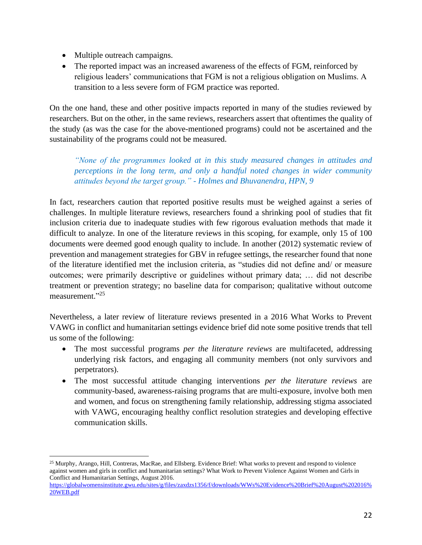- Multiple outreach campaigns.
- The reported impact was an increased awareness of the effects of FGM, reinforced by religious leaders' communications that FGM is not a religious obligation on Muslims. A transition to a less severe form of FGM practice was reported.

On the one hand, these and other positive impacts reported in many of the studies reviewed by researchers. But on the other, in the same reviews, researchers assert that oftentimes the quality of the study (as was the case for the above-mentioned programs) could not be ascertained and the sustainability of the programs could not be measured.

*"None of the programmes looked at in this study measured changes in attitudes and perceptions in the long term, and only a handful noted changes in wider community attitudes beyond the target group." - Holmes and Bhuvanendra, HPN, 9*

In fact, researchers caution that reported positive results must be weighed against a series of challenges. In multiple literature reviews, researchers found a shrinking pool of studies that fit inclusion criteria due to inadequate studies with few rigorous evaluation methods that made it difficult to analyze. In one of the literature reviews in this scoping, for example, only 15 of 100 documents were deemed good enough quality to include. In another (2012) systematic review of prevention and management strategies for GBV in refugee settings, the researcher found that none of the literature identified met the inclusion criteria, as "studies did not define and/ or measure outcomes; were primarily descriptive or guidelines without primary data; … did not describe treatment or prevention strategy; no baseline data for comparison; qualitative without outcome measurement."<sup>25</sup>

Nevertheless, a later review of literature reviews presented in a 2016 What Works to Prevent VAWG in conflict and humanitarian settings evidence brief did note some positive trends that tell us some of the following:

- The most successful programs *per the literature reviews* are multifaceted, addressing underlying risk factors, and engaging all community members (not only survivors and perpetrators).
- The most successful attitude changing interventions *per the literature reviews* are community-based, awareness-raising programs that are multi-exposure, involve both men and women, and focus on strengthening family relationship, addressing stigma associated with VAWG, encouraging healthy conflict resolution strategies and developing effective communication skills.

<sup>25</sup> Murphy, Arango, Hill, Contreras, MacRae, and Ellsberg. Evidence Brief: What works to prevent and respond to violence against women and girls in conflict and humanitarian settings? What Work to Prevent Violence Against Women and Girls in Conflict and Humanitarian Settings, August 2016.

[https://globalwomensinstitute.gwu.edu/sites/g/files/zaxdzs1356/f/downloads/WWs%20Evidence%20Brief%20August%202016%](https://globalwomensinstitute.gwu.edu/sites/g/files/zaxdzs1356/f/downloads/WWs%20Evidence%20Brief%20August%202016%20WEB.pdf) [20WEB.pdf](https://globalwomensinstitute.gwu.edu/sites/g/files/zaxdzs1356/f/downloads/WWs%20Evidence%20Brief%20August%202016%20WEB.pdf)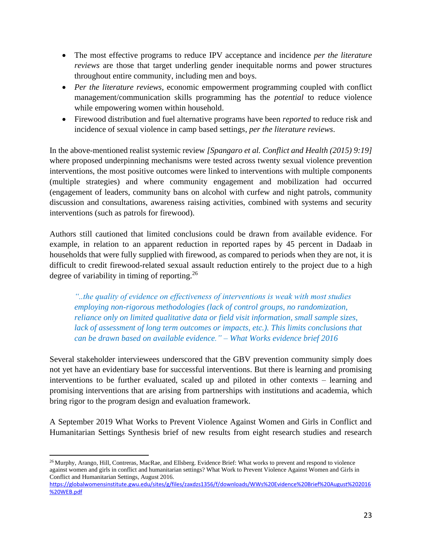- The most effective programs to reduce IPV acceptance and incidence *per the literature reviews* are those that target underling gender inequitable norms and power structures throughout entire community, including men and boys.
- *Per the literature reviews*, economic empowerment programming coupled with conflict management/communication skills programming has the *potential* to reduce violence while empowering women within household.
- Firewood distribution and fuel alternative programs have been *reported* to reduce risk and incidence of sexual violence in camp based settings, *per the literature reviews*.

In the above-mentioned realist systemic review *[Spangaro et al. Conflict and Health (2015) 9:19]*  where proposed underpinning mechanisms were tested across twenty sexual violence prevention interventions, the most positive outcomes were linked to interventions with multiple components (multiple strategies) and where community engagement and mobilization had occurred (engagement of leaders, community bans on alcohol with curfew and night patrols, community discussion and consultations, awareness raising activities, combined with systems and security interventions (such as patrols for firewood).

Authors still cautioned that limited conclusions could be drawn from available evidence. For example, in relation to an apparent reduction in reported rapes by 45 percent in Dadaab in households that were fully supplied with firewood, as compared to periods when they are not, it is difficult to credit firewood-related sexual assault reduction entirely to the project due to a high degree of variability in timing of reporting.<sup>26</sup>

*"..the quality of evidence on effectiveness of interventions is weak with most studies employing non-rigorous methodologies (lack of control groups, no randomization, reliance only on limited qualitative data or field visit information, small sample sizes,*  lack of assessment of long term outcomes or impacts, etc.). This limits conclusions that *can be drawn based on available evidence." – What Works evidence brief 2016* 

Several stakeholder interviewees underscored that the GBV prevention community simply does not yet have an evidentiary base for successful interventions. But there is learning and promising interventions to be further evaluated, scaled up and piloted in other contexts – learning and promising interventions that are arising from partnerships with institutions and academia, which bring rigor to the program design and evaluation framework.

A September 2019 What Works to Prevent Violence Against Women and Girls in Conflict and Humanitarian Settings Synthesis brief of new results from eight research studies and research

<sup>&</sup>lt;sup>26</sup> Murphy, Arango, Hill, Contreras, MacRae, and Ellsberg. Evidence Brief: What works to prevent and respond to violence against women and girls in conflict and humanitarian settings? What Work to Prevent Violence Against Women and Girls in Conflict and Humanitarian Settings, August 2016.

[https://globalwomensinstitute.gwu.edu/sites/g/files/zaxdzs1356/f/downloads/WWs%20Evidence%20Brief%20August%202016](https://globalwomensinstitute.gwu.edu/sites/g/files/zaxdzs1356/f/downloads/WWs%20Evidence%20Brief%20August%202016%20WEB.pdf) [%20WEB.pdf](https://globalwomensinstitute.gwu.edu/sites/g/files/zaxdzs1356/f/downloads/WWs%20Evidence%20Brief%20August%202016%20WEB.pdf)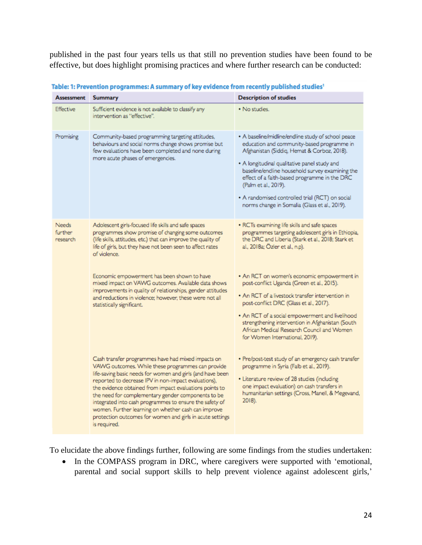published in the past four years tells us that still no prevention studies have been found to be effective, but does highlight promising practices and where further research can be conducted:

| <b>Assessment</b>                   | a n countrivit programmat resumary y a my chache or min country parameter<br><b>Summary</b>                                                                                                                                                                                                                                                                                                                                                                                                                                                   | <b>Description of studies</b>                                                                                                                                                                                                                                                                                                                                                                                                  |
|-------------------------------------|-----------------------------------------------------------------------------------------------------------------------------------------------------------------------------------------------------------------------------------------------------------------------------------------------------------------------------------------------------------------------------------------------------------------------------------------------------------------------------------------------------------------------------------------------|--------------------------------------------------------------------------------------------------------------------------------------------------------------------------------------------------------------------------------------------------------------------------------------------------------------------------------------------------------------------------------------------------------------------------------|
| Effective                           | Sufficient evidence is not available to classify any<br>intervention as "effective".                                                                                                                                                                                                                                                                                                                                                                                                                                                          | • No studies.                                                                                                                                                                                                                                                                                                                                                                                                                  |
| Promising                           | Community-based programming targeting attitudes,<br>behaviours and social norms change shows promise but<br>few evaluations have been completed and none during<br>more acute phases of emergencies.                                                                                                                                                                                                                                                                                                                                          | • A baseline/midline/endline study of school peace<br>education and community-based programme in<br>Afghanistan (Siddiq, Hemat & Corboz, 2018).<br>. A longitudinal qualitative panel study and<br>baseline/endline household survey examining the<br>effect of a faith-based programme in the DRC<br>(Palm et al., 2019).<br>. A randomised controlled trial (RCT) on social<br>norms change in Somalia (Glass et al., 2019). |
| <b>Needs</b><br>further<br>research | Adolescent girls-focused life skills and safe spaces<br>programmes show promise of changing some outcomes<br>(life skills, attitudes, etc.) that can improve the quality of<br>life of girls, but they have not been seen to affect rates<br>of violence.                                                                                                                                                                                                                                                                                     | · RCTs examining life skills and safe spaces<br>programmes targeting adolescent girls in Ethiopia,<br>the DRC and Liberia (Stark et al., 2018; Stark et<br>al., 2018a; Özler et al., n.p).                                                                                                                                                                                                                                     |
|                                     | Economic empowerment has been shown to have<br>mixed impact on VAWG outcomes. Available data shows<br>improvements in quality of relationships, gender attitudes<br>and reductions in violence; however, these were not all<br>statistically significant.                                                                                                                                                                                                                                                                                     | . An RCT on women's economic empowerment in<br>post-conflict Uganda (Green et al., 2015).<br>. An RCT of a livestock transfer intervention in<br>post-conflict DRC (Glass et al., 2017).<br>. An RCT of a social empowerment and livelihood<br>strengthening intervention in Afghanistan (South<br>African Medical Research Council and Women<br>for Women International, 2019).                                               |
|                                     | Cash transfer programmes have had mixed impacts on<br>VAWG outcomes. While these programmes can provide<br>life-saving basic needs for women and girls (and have been<br>reported to decrease IPV in non-impact evaluations),<br>the evidence obtained from impact evaluations points to<br>the need for complementary gender components to be<br>integrated into cash programmes to ensure the safety of<br>women. Further learning on whether cash can improve<br>protection outcomes for women and girls in acute settings<br>is required. | · Pre/post-test study of an emergency cash transfer<br>programme in Syria (Falb et al., 2019).<br>· Literature review of 28 studies (including<br>one impact evaluation) on cash transfers in<br>humanitarian settings (Cross, Manell, & Megevand,<br>2018).                                                                                                                                                                   |

Table: 1: Prevention programmes: A summary of key evidence from recently published studies!

To elucidate the above findings further, following are some findings from the studies undertaken:

• In the COMPASS program in DRC, where caregivers were supported with 'emotional, parental and social support skills to help prevent violence against adolescent girls,'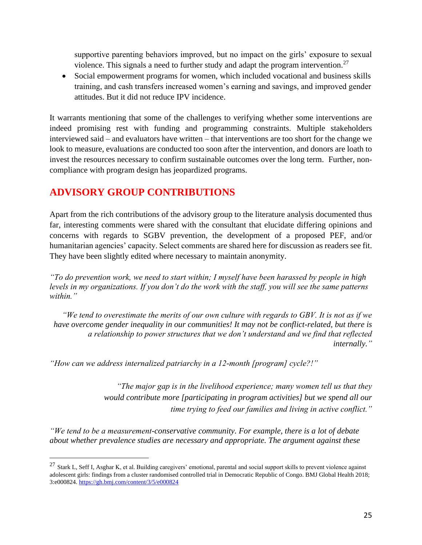supportive parenting behaviors improved, but no impact on the girls' exposure to sexual violence. This signals a need to further study and adapt the program intervention.<sup>27</sup>

• Social empowerment programs for women, which included vocational and business skills training, and cash transfers increased women's earning and savings, and improved gender attitudes. But it did not reduce IPV incidence.

It warrants mentioning that some of the challenges to verifying whether some interventions are indeed promising rest with funding and programming constraints. Multiple stakeholders interviewed said – and evaluators have written – that interventions are too short for the change we look to measure, evaluations are conducted too soon after the intervention, and donors are loath to invest the resources necessary to confirm sustainable outcomes over the long term. Further, noncompliance with program design has jeopardized programs.

# **ADVISORY GROUP CONTRIBUTIONS**

Apart from the rich contributions of the advisory group to the literature analysis documented thus far, interesting comments were shared with the consultant that elucidate differing opinions and concerns with regards to SGBV prevention, the development of a proposed PEF, and/or humanitarian agencies' capacity. Select comments are shared here for discussion as readers see fit. They have been slightly edited where necessary to maintain anonymity.

*"To do prevention work, we need to start within; I myself have been harassed by people in high levels in my organizations. If you don't do the work with the staff, you will see the same patterns within."*

*"We tend to overestimate the merits of our own culture with regards to GBV. It is not as if we have overcome gender inequality in our communities! It may not be conflict-related, but there is a relationship to power structures that we don't understand and we find that reflected internally."*

*"How can we address internalized patriarchy in a 12-month [program] cycle?!"*

*"The major gap is in the livelihood experience; many women tell us that they would contribute more [participating in program activities] but we spend all our time trying to feed our families and living in active conflict."* 

*"We tend to be a measurement-conservative community. For example, there is a lot of debate about whether prevalence studies are necessary and appropriate. The argument against these* 

 $27$  Stark L, Seff I, Asghar K, et al. Building caregivers' emotional, parental and social support skills to prevent violence against adolescent girls: findings from a cluster randomised controlled trial in Democratic Republic of Congo. BMJ Global Health 2018; 3:e000824[. https://gh.bmj.com/content/3/5/e000824](https://gh.bmj.com/content/3/5/e000824)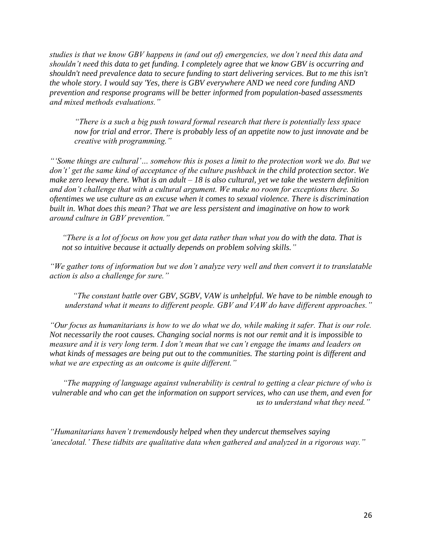*studies is that we know GBV happens in (and out of) emergencies, we don't need this data and shouldn't need this data to get funding. I completely agree that we know GBV is occurring and shouldn't need prevalence data to secure funding to start delivering services. But to me this isn't the whole story. I would say 'Yes, there is GBV everywhere AND we need core funding AND prevention and response programs will be better informed from population-based assessments and mixed methods evaluations."*

*"There is a such a big push toward formal research that there is potentially less space now for trial and error. There is probably less of an appetite now to just innovate and be creative with programming."*

*"'Some things are cultural'… somehow this is poses a limit to the protection work we do. But we don't' get the same kind of acceptance of the culture pushback in the child protection sector. We make zero leeway there. What is an adult – 18 is also cultural, yet we take the western definition and don't challenge that with a cultural argument. We make no room for exceptions there. So oftentimes we use culture as an excuse when it comes to sexual violence. There is discrimination built in. What does this mean? That we are less persistent and imaginative on how to work around culture in GBV prevention."*

*"There is a lot of focus on how you get data rather than what you do with the data. That is not so intuitive because it actually depends on problem solving skills."*

*"We gather tons of information but we don't analyze very well and then convert it to translatable action is also a challenge for sure."* 

*"The constant battle over GBV, SGBV, VAW is unhelpful. We have to be nimble enough to understand what it means to different people. GBV and VAW do have different approaches."*

*"Our focus as humanitarians is how to we do what we do, while making it safer. That is our role. Not necessarily the root causes. Changing social norms is not our remit and it is impossible to measure and it is very long term. I don't mean that we can't engage the imams and leaders on what kinds of messages are being put out to the communities. The starting point is different and what we are expecting as an outcome is quite different."* 

*"The mapping of language against vulnerability is central to getting a clear picture of who is vulnerable and who can get the information on support services, who can use them, and even for us to understand what they need."*

*"Humanitarians haven't tremendously helped when they undercut themselves saying 'anecdotal.' These tidbits are qualitative data when gathered and analyzed in a rigorous way."*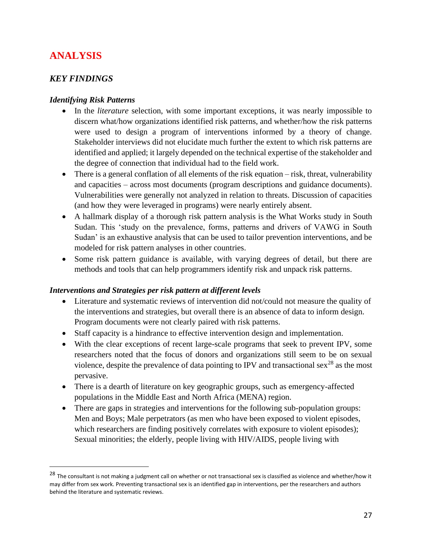# **ANALYSIS**

## *KEY FINDINGS*

## *Identifying Risk Patterns*

- In the *literature* selection, with some important exceptions, it was nearly impossible to discern what/how organizations identified risk patterns, and whether/how the risk patterns were used to design a program of interventions informed by a theory of change. Stakeholder interviews did not elucidate much further the extent to which risk patterns are identified and applied; it largely depended on the technical expertise of the stakeholder and the degree of connection that individual had to the field work.
- There is a general conflation of all elements of the risk equation risk, threat, vulnerability and capacities – across most documents (program descriptions and guidance documents). Vulnerabilities were generally not analyzed in relation to threats. Discussion of capacities (and how they were leveraged in programs) were nearly entirely absent.
- A hallmark display of a thorough risk pattern analysis is the What Works study in South Sudan. This 'study on the prevalence, forms, patterns and drivers of VAWG in South Sudan' is an exhaustive analysis that can be used to tailor prevention interventions, and be modeled for risk pattern analyses in other countries.
- Some risk pattern guidance is available, with varying degrees of detail, but there are methods and tools that can help programmers identify risk and unpack risk patterns.

## *Interventions and Strategies per risk pattern at different levels*

- Literature and systematic reviews of intervention did not/could not measure the quality of the interventions and strategies, but overall there is an absence of data to inform design. Program documents were not clearly paired with risk patterns.
- Staff capacity is a hindrance to effective intervention design and implementation.
- With the clear exceptions of recent large-scale programs that seek to prevent IPV, some researchers noted that the focus of donors and organizations still seem to be on sexual violence, despite the prevalence of data pointing to IPV and transactional sex<sup>28</sup> as the most pervasive.
- There is a dearth of literature on key geographic groups, such as emergency-affected populations in the Middle East and North Africa (MENA) region.
- There are gaps in strategies and interventions for the following sub-population groups: Men and Boys; Male perpetrators (as men who have been exposed to violent episodes, which researchers are finding positively correlates with exposure to violent episodes); Sexual minorities; the elderly, people living with HIV/AIDS, people living with

<sup>&</sup>lt;sup>28</sup> The consultant is not making a judgment call on whether or not transactional sex is classified as violence and whether/how it may differ from sex work. Preventing transactional sex is an identified gap in interventions, per the researchers and authors behind the literature and systematic reviews.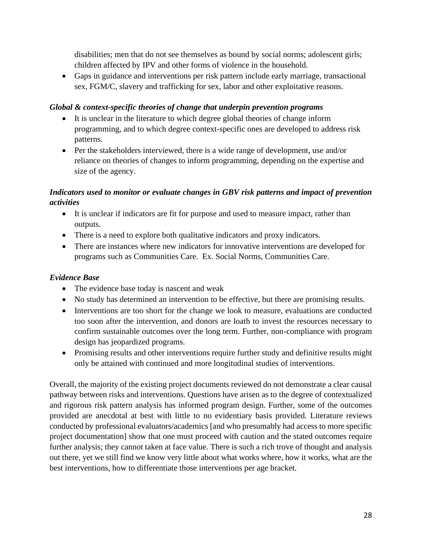disabilities; men that do not see themselves as bound by social norms; adolescent girls; children affected by IPV and other forms of violence in the household.

• Gaps in guidance and interventions per risk pattern include early marriage, transactional sex, FGM/C, slavery and trafficking for sex, labor and other exploitative reasons.

#### *Global & context-specific theories of change that underpin prevention programs*

- It is unclear in the literature to which degree global theories of change inform programming, and to which degree context-specific ones are developed to address risk patterns.
- Per the stakeholders interviewed, there is a wide range of development, use and/or reliance on theories of changes to inform programming, depending on the expertise and size of the agency.

## *Indicators used to monitor or evaluate changes in GBV risk patterns and impact of prevention activities*

- It is unclear if indicators are fit for purpose and used to measure impact, rather than outputs.
- There is a need to explore both qualitative indicators and proxy indicators.
- There are instances where new indicators for innovative interventions are developed for programs such as Communities Care. Ex. Social Norms, Communities Care.

## *Evidence Base*

- The evidence base today is nascent and weak
- No study has determined an intervention to be effective, but there are promising results.
- Interventions are too short for the change we look to measure, evaluations are conducted too soon after the intervention, and donors are loath to invest the resources necessary to confirm sustainable outcomes over the long term. Further, non-compliance with program design has jeopardized programs.
- Promising results and other interventions require further study and definitive results might only be attained with continued and more longitudinal studies of interventions.

Overall, the majority of the existing project documents reviewed do not demonstrate a clear causal pathway between risks and interventions. Questions have arisen as to the degree of contextualized and rigorous risk pattern analysis has informed program design. Further, some of the outcomes provided are anecdotal at best with little to no evidentiary basis provided. Literature reviews conducted by professional evaluators/academics [and who presumably had access to more specific project documentation] show that one must proceed with caution and the stated outcomes require further analysis; they cannot taken at face value. There is such a rich trove of thought and analysis out there, yet we still find we know very little about what works where, how it works, what are the best interventions, how to differentiate those interventions per age bracket.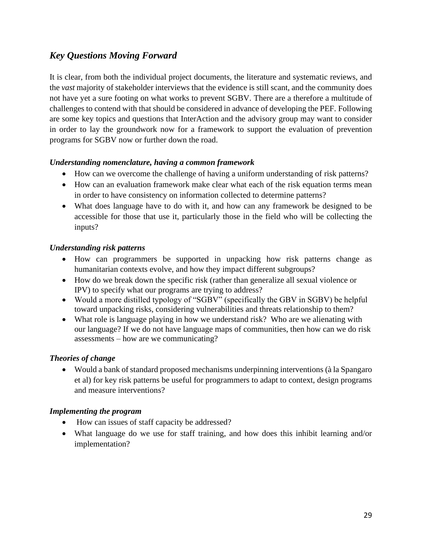# *Key Questions Moving Forward*

It is clear, from both the individual project documents, the literature and systematic reviews, and the *vast* majority of stakeholder interviews that the evidence is still scant, and the community does not have yet a sure footing on what works to prevent SGBV. There are a therefore a multitude of challenges to contend with that should be considered in advance of developing the PEF. Following are some key topics and questions that InterAction and the advisory group may want to consider in order to lay the groundwork now for a framework to support the evaluation of prevention programs for SGBV now or further down the road.

#### *Understanding nomenclature, having a common framework*

- How can we overcome the challenge of having a uniform understanding of risk patterns?
- How can an evaluation framework make clear what each of the risk equation terms mean in order to have consistency on information collected to determine patterns?
- What does language have to do with it, and how can any framework be designed to be accessible for those that use it, particularly those in the field who will be collecting the inputs?

#### *Understanding risk patterns*

- How can programmers be supported in unpacking how risk patterns change as humanitarian contexts evolve, and how they impact different subgroups?
- How do we break down the specific risk (rather than generalize all sexual violence or IPV) to specify what our programs are trying to address?
- Would a more distilled typology of "SGBV" (specifically the GBV in SGBV) be helpful toward unpacking risks, considering vulnerabilities and threats relationship to them?
- What role is language playing in how we understand risk? Who are we alienating with our language? If we do not have language maps of communities, then how can we do risk assessments – how are we communicating?

## *Theories of change*

• Would a bank of standard proposed mechanisms underpinning interventions (à la Spangaro et al) for key risk patterns be useful for programmers to adapt to context, design programs and measure interventions?

#### *Implementing the program*

- How can issues of staff capacity be addressed?
- What language do we use for staff training, and how does this inhibit learning and/or implementation?